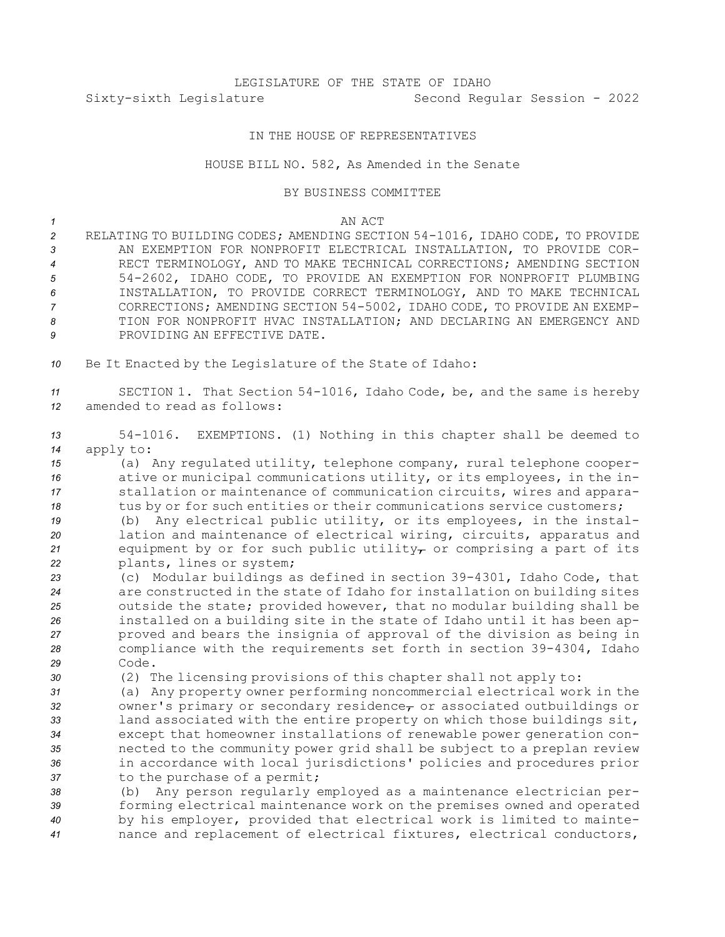# LEGISLATURE OF THE STATE OF IDAHO Sixty-sixth Legislature Second Regular Session - 2022

## IN THE HOUSE OF REPRESENTATIVES

### HOUSE BILL NO. 582, As Amended in the Senate

#### BY BUSINESS COMMITTEE

### *1* AN ACT

- *<sup>2</sup>* RELATING TO BUILDING CODES; AMENDING SECTION 54-1016, IDAHO CODE, TO PROVIDE *3* AN EXEMPTION FOR NONPROFIT ELECTRICAL INSTALLATION, TO PROVIDE COR-*4* RECT TERMINOLOGY, AND TO MAKE TECHNICAL CORRECTIONS; AMENDING SECTION *<sup>5</sup>* 54-2602, IDAHO CODE, TO PROVIDE AN EXEMPTION FOR NONPROFIT PLUMBING *6* INSTALLATION, TO PROVIDE CORRECT TERMINOLOGY, AND TO MAKE TECHNICAL *<sup>7</sup>* CORRECTIONS; AMENDING SECTION 54-5002, IDAHO CODE, TO PROVIDE AN EXEMP-*8* TION FOR NONPROFIT HVAC INSTALLATION; AND DECLARING AN EMERGENCY AND **9** PROVIDING AN EFFECTIVE DATE.
- *<sup>10</sup>* Be It Enacted by the Legislature of the State of Idaho:

*<sup>11</sup>* SECTION 1. That Section 54-1016, Idaho Code, be, and the same is hereby *12* amended to read as follows:

*<sup>13</sup>* 54-1016. EXEMPTIONS. (1) Nothing in this chapter shall be deemed to *<sup>14</sup>* apply to:

 (a) Any regulated utility, telephone company, rural telephone cooper- ative or municipal communications utility, or its employees, in the in- stallation or maintenance of communication circuits, wires and appara-tus by or for such entities or their communications service customers;

 (b) Any electrical public utility, or its employees, in the instal- lation and maintenance of electrical wiring, circuits, apparatus and equipment by or for such public utility<sub> $\tau$ </sub> or comprising a part of its plants, lines or system;

 (c) Modular buildings as defined in section 39-4301, Idaho Code, that are constructed in the state of Idaho for installation on building sites outside the state; provided however, that no modular building shall be installed on <sup>a</sup> building site in the state of Idaho until it has been ap- proved and bears the insignia of approval of the division as being in compliance with the requirements set forth in section 39-4304, Idaho *29* Code.

*<sup>30</sup>* (2) The licensing provisions of this chapter shall not apply to:

 (a) Any property owner performing noncommercial electrical work in the 32 owner's primary or secondary residence<sub>r</sub> or associated outbuildings or land associated with the entire property on which those buildings sit, except that homeowner installations of renewable power generation con- nected to the community power grid shall be subject to <sup>a</sup> preplan review in accordance with local jurisdictions' policies and procedures prior to the purchase of <sup>a</sup> permit;

 (b) Any person regularly employed as <sup>a</sup> maintenance electrician per- forming electrical maintenance work on the premises owned and operated by his employer, provided that electrical work is limited to mainte-nance and replacement of electrical fixtures, electrical conductors,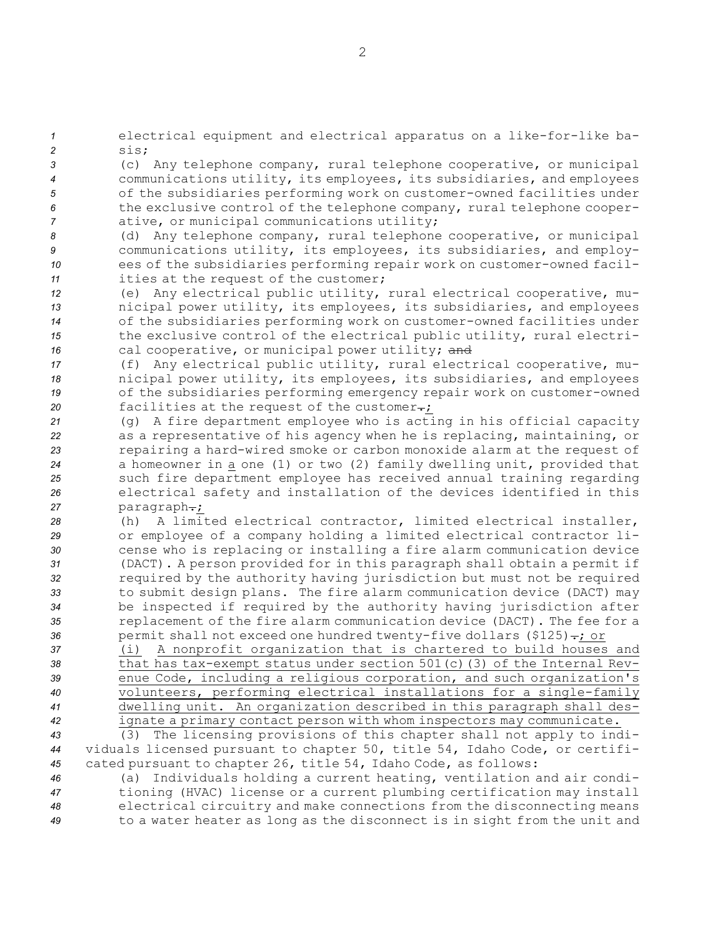*<sup>1</sup>* electrical equipment and electrical apparatus on <sup>a</sup> like-for-like ba-*2* sis;

 (c) Any telephone company, rural telephone cooperative, or municipal communications utility, its employees, its subsidiaries, and employees of the subsidiaries performing work on customer-owned facilities under the exclusive control of the telephone company, rural telephone cooper-ative, or municipal communications utility;

 (d) Any telephone company, rural telephone cooperative, or municipal communications utility, its employees, its subsidiaries, and employ- ees of the subsidiaries performing repair work on customer-owned facil-ities at the request of the customer;

 (e) Any electrical public utility, rural electrical cooperative, mu- nicipal power utility, its employees, its subsidiaries, and employees of the subsidiaries performing work on customer-owned facilities under the exclusive control of the electrical public utility, rural electri-16 cal cooperative, or municipal power utility; and

 (f) Any electrical public utility, rural electrical cooperative, mu- nicipal power utility, its employees, its subsidiaries, and employees of the subsidiaries performing emergency repair work on customer-owned 20 facilities at the request of the customer-;

 (g) <sup>A</sup> fire department employee who is acting in his official capacity as <sup>a</sup> representative of his agency when he is replacing, maintaining, or repairing <sup>a</sup> hard-wired smoke or carbon monoxide alarm at the request of <sup>a</sup> homeowner in <sup>a</sup> one (1) or two (2) family dwelling unit, provided that such fire department employee has received annual training regarding electrical safety and installation of the devices identified in this 27 paragraph-;

 (h) A limited electrical contractor, limited electrical installer, or employee of <sup>a</sup> company holding <sup>a</sup> limited electrical contractor li- cense who is replacing or installing <sup>a</sup> fire alarm communication device (DACT). <sup>A</sup> person provided for in this paragraph shall obtain <sup>a</sup> permit if required by the authority having jurisdiction but must not be required to submit design plans. The fire alarm communication device (DACT) may be inspected if required by the authority having jurisdiction after replacement of the fire alarm communication device (DACT). The fee for <sup>a</sup> 36 permit shall not exceed one hundred twenty-five dollars (\$125)-; or

 (i) <sup>A</sup> nonprofit organization that is chartered to build houses and that has tax-exempt status under section 501(c)(3) of the Internal Rev- enue Code, including <sup>a</sup> religious corporation, and such organization's volunteers, performing electrical installations for <sup>a</sup> single-family dwelling unit. An organization described in this paragraph shall des-ignate <sup>a</sup> primary contact person with whom inspectors may communicate.

*<sup>43</sup>* (3) The licensing provisions of this chapter shall not apply to indi-*<sup>44</sup>* viduals licensed pursuant to chapter 50, title 54, Idaho Code, or certifi-*<sup>45</sup>* cated pursuant to chapter 26, title 54, Idaho Code, as follows:

 (a) Individuals holding <sup>a</sup> current heating, ventilation and air condi- tioning (HVAC) license or <sup>a</sup> current plumbing certification may install electrical circuitry and make connections from the disconnecting means to <sup>a</sup> water heater as long as the disconnect is in sight from the unit and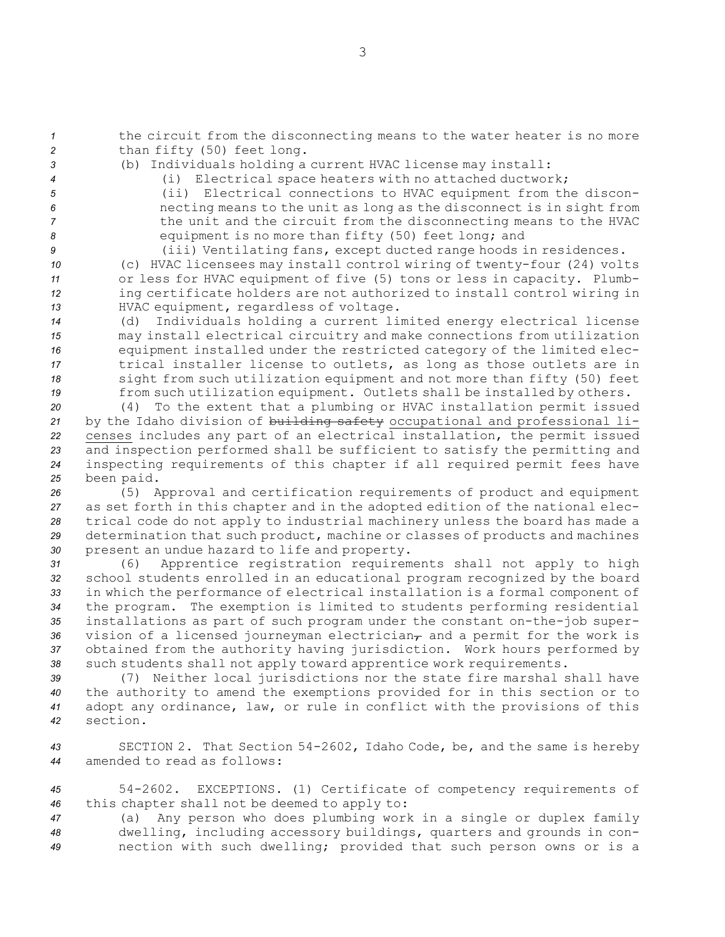*<sup>1</sup>* the circuit from the disconnecting means to the water heater is no more *<sup>2</sup>* than fifty (50) feet long.

- 
- *<sup>3</sup>* (b) Individuals holding <sup>a</sup> current HVAC license may install:
- 
- *<sup>4</sup>* (i) Electrical space heaters with no attached ductwork; *<sup>5</sup>* (ii) Electrical connections to HVAC equipment from the discon-*<sup>6</sup>* necting means to the unit as long as the disconnect is in sight from *<sup>7</sup>* the unit and the circuit from the disconnecting means to the HVAC
- *<sup>8</sup>* equipment is no more than fifty (50) feet long; and
- *<sup>9</sup>* (iii) Ventilating fans, except ducted range hoods in residences.

 (c) HVAC licensees may install control wiring of twenty-four (24) volts or less for HVAC equipment of five (5) tons or less in capacity. Plumb- ing certificate holders are not authorized to install control wiring in HVAC equipment, regardless of voltage.

 (d) Individuals holding <sup>a</sup> current limited energy electrical license may install electrical circuitry and make connections from utilization equipment installed under the restricted category of the limited elec- trical installer license to outlets, as long as those outlets are in sight from such utilization equipment and not more than fifty (50) feet from such utilization equipment. Outlets shall be installed by others.

 (4) To the extent that <sup>a</sup> plumbing or HVAC installation permit issued by the Idaho division of building safety occupational and professional li- censes includes any part of an electrical installation, the permit issued and inspection performed shall be sufficient to satisfy the permitting and inspecting requirements of this chapter if all required permit fees have been paid.

 (5) Approval and certification requirements of product and equipment as set forth in this chapter and in the adopted edition of the national elec- trical code do not apply to industrial machinery unless the board has made <sup>a</sup> determination that such product, machine or classes of products and machines present an undue hazard to life and property.

 (6) Apprentice registration requirements shall not apply to high school students enrolled in an educational program recognized by the board in which the performance of electrical installation is <sup>a</sup> formal component of the program. The exemption is limited to students performing residential installations as part of such program under the constant on-the-job super-36 vision of a licensed journeyman electrician<sub>T</sub> and a permit for the work is obtained from the authority having jurisdiction. Work hours performed by such students shall not apply toward apprentice work requirements.

 (7) Neither local jurisdictions nor the state fire marshal shall have the authority to amend the exemptions provided for in this section or to adopt any ordinance, law, or rule in conflict with the provisions of this *42* section.

*<sup>43</sup>* SECTION 2. That Section 54-2602, Idaho Code, be, and the same is hereby *44* amended to read as follows:

*<sup>45</sup>* 54-2602. EXCEPTIONS. (1) Certificate of competency requirements of *<sup>46</sup>* this chapter shall not be deemed to apply to:

*<sup>47</sup>* (a) Any person who does plumbing work in <sup>a</sup> single or duplex family *<sup>48</sup>* dwelling, including accessory buildings, quarters and grounds in con-*<sup>49</sup>* nection with such dwelling; provided that such person owns or is <sup>a</sup>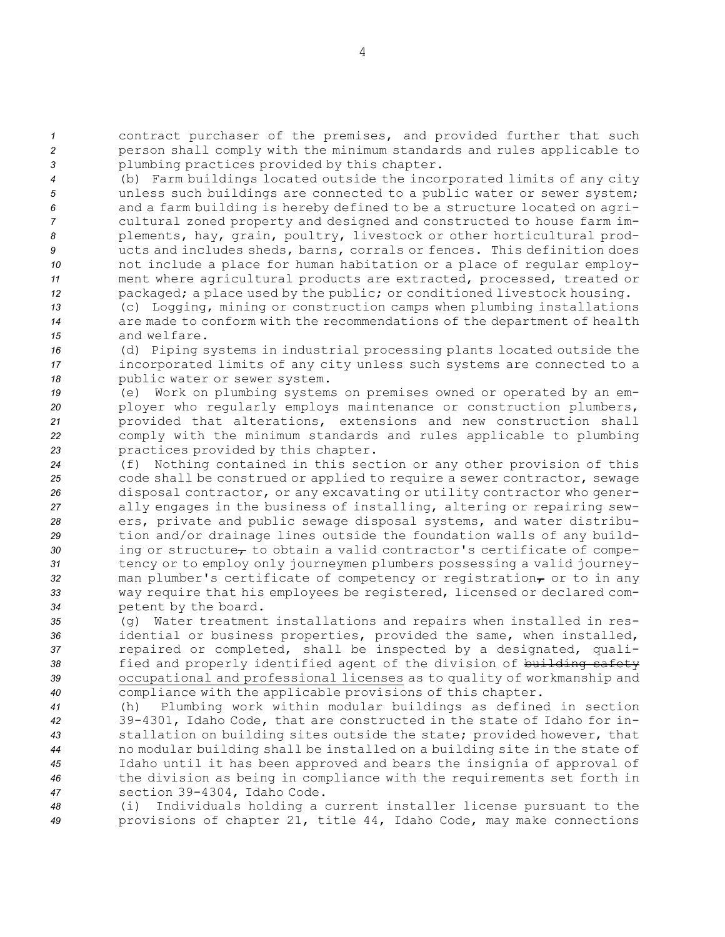*<sup>1</sup>* contract purchaser of the premises, and provided further that such *<sup>2</sup>* person shall comply with the minimum standards and rules applicable to *<sup>3</sup>* plumbing practices provided by this chapter.

 (b) Farm buildings located outside the incorporated limits of any city unless such buildings are connected to <sup>a</sup> public water or sewer system; and <sup>a</sup> farm building is hereby defined to be <sup>a</sup> structure located on agri- cultural zoned property and designed and constructed to house farm im- plements, hay, grain, poultry, livestock or other horticultural prod- ucts and includes sheds, barns, corrals or fences. This definition does not include <sup>a</sup> place for human habitation or <sup>a</sup> place of regular employ- ment where agricultural products are extracted, processed, treated or packaged; <sup>a</sup> place used by the public; or conditioned livestock housing.

*<sup>13</sup>* (c) Logging, mining or construction camps when plumbing installations *<sup>14</sup>* are made to conform with the recommendations of the department of health *15* and welfare.

*<sup>16</sup>* (d) Piping systems in industrial processing plants located outside the *<sup>17</sup>* incorporated limits of any city unless such systems are connected to <sup>a</sup> *<sup>18</sup>* public water or sewer system.

 (e) Work on plumbing systems on premises owned or operated by an em- ployer who regularly employs maintenance or construction plumbers, provided that alterations, extensions and new construction shall comply with the minimum standards and rules applicable to plumbing practices provided by this chapter.

 (f) Nothing contained in this section or any other provision of this code shall be construed or applied to require <sup>a</sup> sewer contractor, sewage disposal contractor, or any excavating or utility contractor who gener- ally engages in the business of installing, altering or repairing sew- ers, private and public sewage disposal systems, and water distribu- tion and/or drainage lines outside the foundation walls of any build-30 ing or structure<sub>r</sub> to obtain a valid contractor's certificate of compe- tency or to employ only journeymen plumbers possessing <sup>a</sup> valid journey-32 man plumber's certificate of competency or registration<sub>7</sub> or to in any way require that his employees be registered, licensed or declared com-petent by the board.

 (g) Water treatment installations and repairs when installed in res- idential or business properties, provided the same, when installed, repaired or completed, shall be inspected by <sup>a</sup> designated, quali- fied and properly identified agent of the division of building safety occupational and professional licenses as to quality of workmanship and compliance with the applicable provisions of this chapter.

 (h) Plumbing work within modular buildings as defined in section 39-4301, Idaho Code, that are constructed in the state of Idaho for in- stallation on building sites outside the state; provided however, that no modular building shall be installed on <sup>a</sup> building site in the state of Idaho until it has been approved and bears the insignia of approval of the division as being in compliance with the requirements set forth in section 39-4304, Idaho Code.

*<sup>48</sup>* (i) Individuals holding <sup>a</sup> current installer license pursuant to the *<sup>49</sup>* provisions of chapter 21, title 44, Idaho Code, may make connections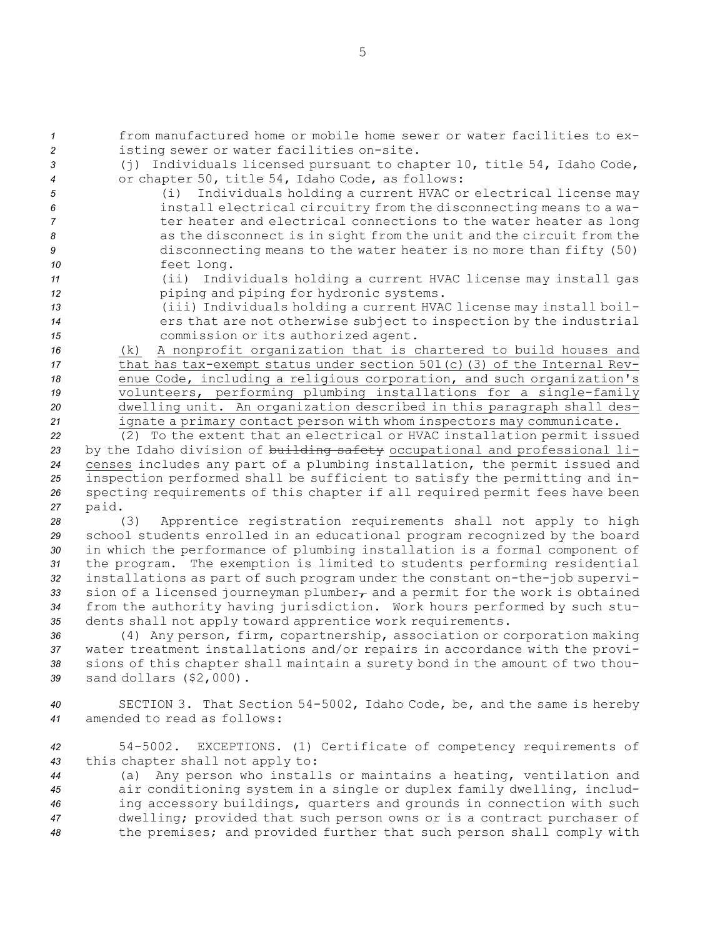*1* from manufactured home or mobile home sewer or water facilities to ex-*<sup>2</sup>* isting sewer or water facilities on-site.

- *<sup>3</sup>* (j) Individuals licensed pursuant to chapter 10, title 54, Idaho Code,
- 
- 

 or chapter 50, title 54, Idaho Code, as follows: (i) Individuals holding <sup>a</sup> current HVAC or electrical license may install electrical circuitry from the disconnecting means to <sup>a</sup> wa- *7* ter heater and electrical connections to the water heater as long as the disconnect is in sight from the unit and the circuit from the disconnecting means to the water heater is no more than fifty (50) feet long.

- *<sup>11</sup>* (ii) Individuals holding <sup>a</sup> current HVAC license may install gas *<sup>12</sup>* piping and piping for hydronic systems.
- *<sup>13</sup>* (iii) Individuals holding <sup>a</sup> current HVAC license may install boil-14 **ers that are not otherwise subject to inspection by the industrial** *<sup>15</sup>* commission or its authorized agent.

 (k) <sup>A</sup> nonprofit organization that is chartered to build houses and that has tax-exempt status under section 501(c)(3) of the Internal Rev- enue Code, including <sup>a</sup> religious corporation, and such organization's 19 volunteers, performing plumbing installations for a single-family dwelling unit. An organization described in this paragraph shall des-ignate <sup>a</sup> primary contact person with whom inspectors may communicate.

 (2) To the extent that an electrical or HVAC installation permit issued by the Idaho division of building safety occupational and professional li- censes includes any part of <sup>a</sup> plumbing installation, the permit issued and inspection performed shall be sufficient to satisfy the permitting and in- specting requirements of this chapter if all required permit fees have been *<sup>27</sup>* paid.

 (3) Apprentice registration requirements shall not apply to high school students enrolled in an educational program recognized by the board in which the performance of plumbing installation is <sup>a</sup> formal component of the program. The exemption is limited to students performing residential installations as part of such program under the constant on-the-job supervi-33 sion of a licensed journeyman plumber<sub>r</sub> and a permit for the work is obtained from the authority having jurisdiction. Work hours performed by such stu-dents shall not apply toward apprentice work requirements.

 (4) Any person, firm, copartnership, association or corporation making water treatment installations and/or repairs in accordance with the provi- sions of this chapter shall maintain <sup>a</sup> surety bond in the amount of two thou-sand dollars (\$2,000).

*<sup>40</sup>* SECTION 3. That Section 54-5002, Idaho Code, be, and the same is hereby *41* amended to read as follows:

*<sup>42</sup>* 54-5002. EXCEPTIONS. (1) Certificate of competency requirements of *<sup>43</sup>* this chapter shall not apply to:

 (a) Any person who installs or maintains <sup>a</sup> heating, ventilation and air conditioning system in <sup>a</sup> single or duplex family dwelling, includ- ing accessory buildings, quarters and grounds in connection with such dwelling; provided that such person owns or is <sup>a</sup> contract purchaser of the premises; and provided further that such person shall comply with